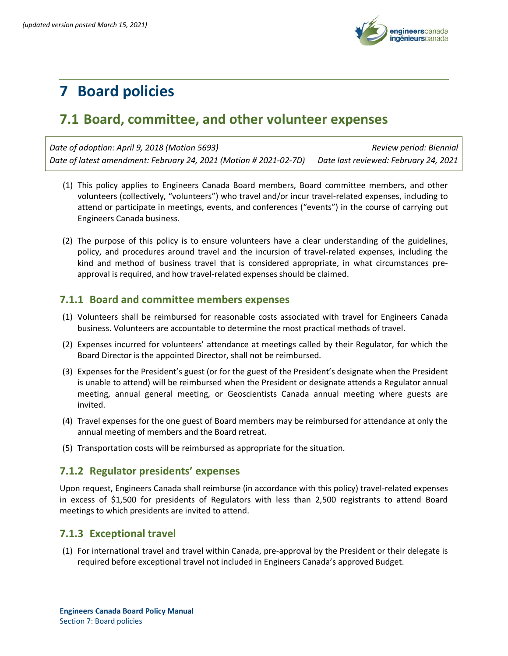

# **7 Board policies**

## **7.1 Board, committee, and other volunteer expenses**

*Date of adoption: April 9, 2018 (Motion 5693) Review period: Biennial Date of latest amendment: February 24, 2021 (Motion # 2021-02-7D) Date last reviewed: February 24, 2021*

- (1) This policy applies to Engineers Canada Board members, Board committee members, and other volunteers (collectively, "volunteers") who travel and/or incur travel-related expenses, including to attend or participate in meetings, events, and conferences ("events") in the course of carrying out Engineers Canada business.
- (2) The purpose of this policy is to ensure volunteers have a clear understanding of the guidelines, policy, and procedures around travel and the incursion of travel-related expenses, including the kind and method of business travel that is considered appropriate, in what circumstances preapproval is required, and how travel-related expenses should be claimed.

### **7.1.1 Board and committee members expenses**

- (1) Volunteers shall be reimbursed for reasonable costs associated with travel for Engineers Canada business. Volunteers are accountable to determine the most practical methods of travel.
- (2) Expenses incurred for volunteers' attendance at meetings called by their Regulator, for which the Board Director is the appointed Director, shall not be reimbursed.
- (3) Expenses for the President's guest (or for the guest of the President's designate when the President is unable to attend) will be reimbursed when the President or designate attends a Regulator annual meeting, annual general meeting, or Geoscientists Canada annual meeting where guests are invited.
- (4) Travel expenses for the one guest of Board members may be reimbursed for attendance at only the annual meeting of members and the Board retreat.
- (5) Transportation costs will be reimbursed as appropriate for the situation.

### **7.1.2 Regulator presidents' expenses**

Upon request, Engineers Canada shall reimburse (in accordance with this policy) travel-related expenses in excess of \$1,500 for presidents of Regulators with less than 2,500 registrants to attend Board meetings to which presidents are invited to attend.

### **7.1.3 Exceptional travel**

(1) For international travel and travel within Canada, pre-approval by the President or their delegate is required before exceptional travel not included in Engineers Canada's approved Budget.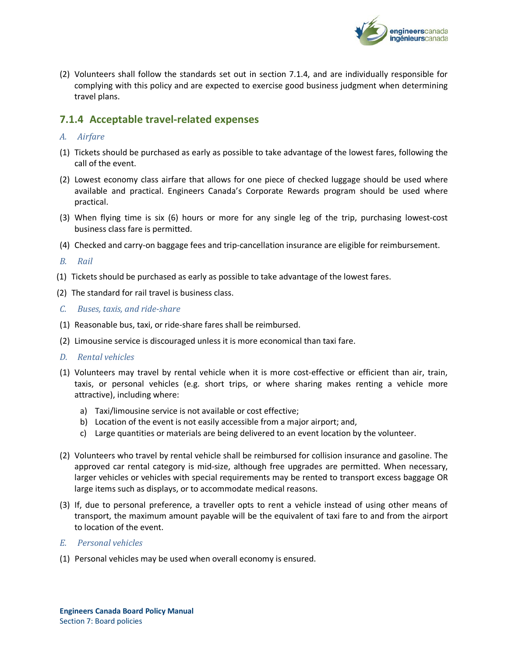

(2) Volunteers shall follow the standards set out in section 7.1.4, and are individually responsible for complying with this policy and are expected to exercise good business judgment when determining travel plans.

### **7.1.4 Acceptable travel-related expenses**

#### *A. Airfare*

- (1) Tickets should be purchased as early as possible to take advantage of the lowest fares, following the call of the event.
- (2) Lowest economy class airfare that allows for one piece of checked luggage should be used where available and practical. Engineers Canada's Corporate Rewards program should be used where practical.
- (3) When flying time is six (6) hours or more for any single leg of the trip, purchasing lowest-cost business class fare is permitted.
- (4) Checked and carry-on baggage fees and trip-cancellation insurance are eligible for reimbursement.
- *B. Rail*
- (1) Tickets should be purchased as early as possible to take advantage of the lowest fares.
- (2) The standard for rail travel is business class.
- *C. Buses, taxis, and ride-share*
- (1) Reasonable bus, taxi, or ride-share fares shall be reimbursed.
- (2) Limousine service is discouraged unless it is more economical than taxi fare.
- *D. Rental vehicles*
- (1) Volunteers may travel by rental vehicle when it is more cost-effective or efficient than air, train, taxis, or personal vehicles (e.g. short trips, or where sharing makes renting a vehicle more attractive), including where:
	- a) Taxi/limousine service is not available or cost effective;
	- b) Location of the event is not easily accessible from a major airport; and,
	- c) Large quantities or materials are being delivered to an event location by the volunteer.
- (2) Volunteers who travel by rental vehicle shall be reimbursed for collision insurance and gasoline. The approved car rental category is mid-size, although free upgrades are permitted. When necessary, larger vehicles or vehicles with special requirements may be rented to transport excess baggage OR large items such as displays, or to accommodate medical reasons.
- (3) If, due to personal preference, a traveller opts to rent a vehicle instead of using other means of transport, the maximum amount payable will be the equivalent of taxi fare to and from the airport to location of the event.

#### *E. Personal vehicles*

(1) Personal vehicles may be used when overall economy is ensured.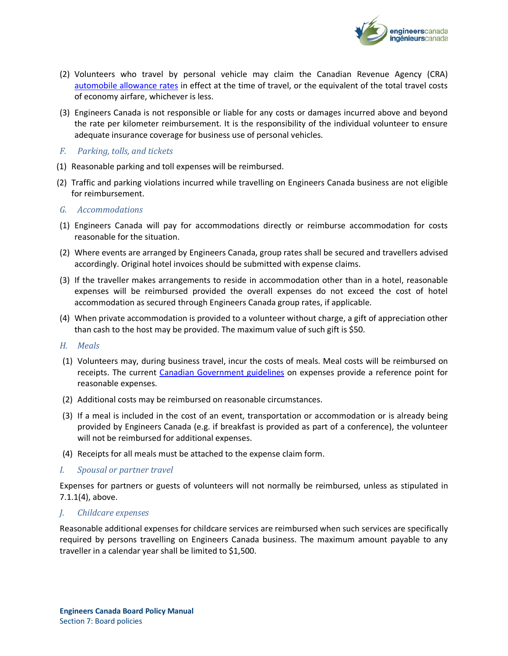

- (2) Volunteers who travel by personal vehicle may claim the Canadian Revenue Agency (CRA) [automobile allowance rates](https://www.canada.ca/en/revenue-agency/services/tax/businesses/topics/payroll/benefits-allowances/automobile/automobile-motor-vehicle-allowances/automobile-allowance-rates.html) in effect at the time of travel, or the equivalent of the total travel costs of economy airfare, whichever is less.
- (3) Engineers Canada is not responsible or liable for any costs or damages incurred above and beyond the rate per kilometer reimbursement. It is the responsibility of the individual volunteer to ensure adequate insurance coverage for business use of personal vehicles.

#### *F. Parking, tolls, and tickets*

- (1) Reasonable parking and toll expenses will be reimbursed.
- (2) Traffic and parking violations incurred while travelling on Engineers Canada business are not eligible for reimbursement.
- *G. Accommodations*
- (1) Engineers Canada will pay for accommodations directly or reimburse accommodation for costs reasonable for the situation.
- (2) Where events are arranged by Engineers Canada, group rates shall be secured and travellers advised accordingly. Original hotel invoices should be submitted with expense claims.
- (3) If the traveller makes arrangements to reside in accommodation other than in a hotel, reasonable expenses will be reimbursed provided the overall expenses do not exceed the cost of hotel accommodation as secured through Engineers Canada group rates, if applicable.
- (4) When private accommodation is provided to a volunteer without charge, a gift of appreciation other than cash to the host may be provided. The maximum value of such gift is \$50.

#### *H. Meals*

- (1) Volunteers may, during business travel, incur the costs of meals. Meal costs will be reimbursed on receipts. The current [Canadian Government guidelines](https://www.njc-cnm.gc.ca/directive/d10/v238/s659/en#s659-tc-tm) on expenses provide a reference point for reasonable expenses.
- (2) Additional costs may be reimbursed on reasonable circumstances.
- (3) If a meal is included in the cost of an event, transportation or accommodation or is already being provided by Engineers Canada (e.g. if breakfast is provided as part of a conference), the volunteer will not be reimbursed for additional expenses.
- (4) Receipts for all meals must be attached to the expense claim form.

#### *I. Spousal or partner travel*

Expenses for partners or guests of volunteers will not normally be reimbursed, unless as stipulated in 7.1.1(4), above.

#### *J. Childcare expenses*

Reasonable additional expenses for childcare services are reimbursed when such services are specifically required by persons travelling on Engineers Canada business. The maximum amount payable to any traveller in a calendar year shall be limited to \$1,500.